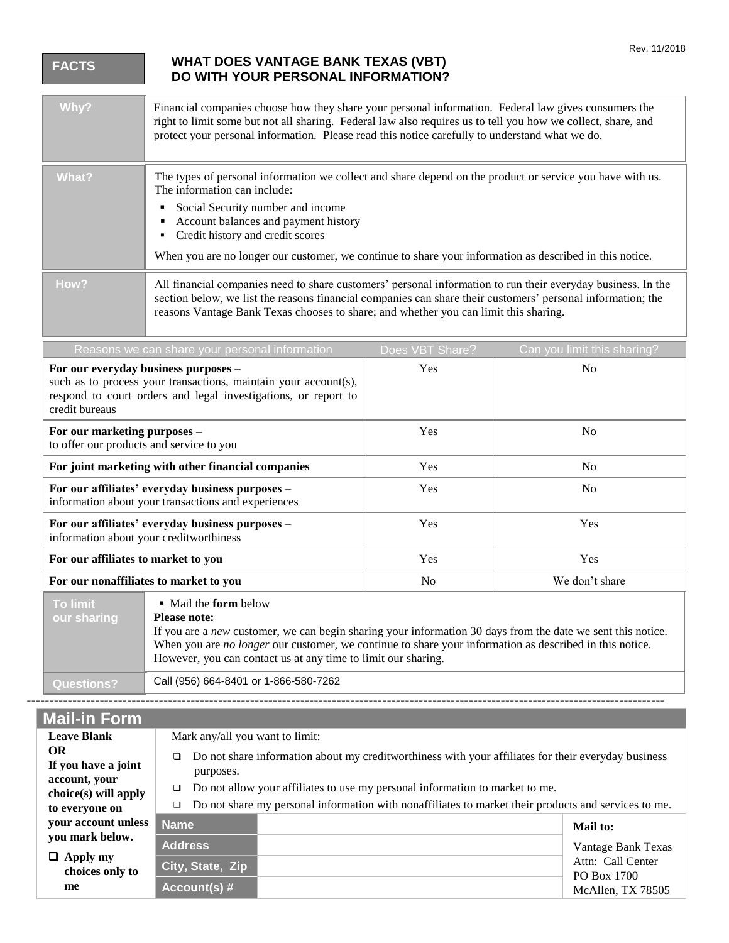|  | <b>FACTS</b>                                                                                                                                                                                | <b>WHAT DOES VANTAGE BANK TEXAS (VBT)</b><br>DO WITH YOUR PERSONAL INFORMATION?                                                                                                                                                                                                                                                         |                                                                                                                                                                                                                      |                             |  |  |
|--|---------------------------------------------------------------------------------------------------------------------------------------------------------------------------------------------|-----------------------------------------------------------------------------------------------------------------------------------------------------------------------------------------------------------------------------------------------------------------------------------------------------------------------------------------|----------------------------------------------------------------------------------------------------------------------------------------------------------------------------------------------------------------------|-----------------------------|--|--|
|  | Why?                                                                                                                                                                                        | Financial companies choose how they share your personal information. Federal law gives consumers the<br>right to limit some but not all sharing. Federal law also requires us to tell you how we collect, share, and<br>protect your personal information. Please read this notice carefully to understand what we do.                  |                                                                                                                                                                                                                      |                             |  |  |
|  | What?                                                                                                                                                                                       | The information can include:<br>Social Security number and income<br>Account balances and payment history<br>٠<br>• Credit history and credit scores                                                                                                                                                                                    | The types of personal information we collect and share depend on the product or service you have with us.<br>When you are no longer our customer, we continue to share your information as described in this notice. |                             |  |  |
|  | How?                                                                                                                                                                                        | All financial companies need to share customers' personal information to run their everyday business. In the<br>section below, we list the reasons financial companies can share their customers' personal information; the<br>reasons Vantage Bank Texas chooses to share; and whether you can limit this sharing.                     |                                                                                                                                                                                                                      |                             |  |  |
|  |                                                                                                                                                                                             | Reasons we can share your personal information                                                                                                                                                                                                                                                                                          | Does VBT Share?                                                                                                                                                                                                      | Can you limit this sharing? |  |  |
|  | For our everyday business purposes -<br>such as to process your transactions, maintain your account(s),<br>respond to court orders and legal investigations, or report to<br>credit bureaus |                                                                                                                                                                                                                                                                                                                                         | Yes                                                                                                                                                                                                                  | N <sub>o</sub>              |  |  |
|  |                                                                                                                                                                                             | For our marketing purposes -<br>to offer our products and service to you                                                                                                                                                                                                                                                                |                                                                                                                                                                                                                      | N <sub>o</sub>              |  |  |
|  | For joint marketing with other financial companies<br>For our affiliates' everyday business purposes -<br>information about your transactions and experiences                               |                                                                                                                                                                                                                                                                                                                                         | Yes                                                                                                                                                                                                                  | N <sub>o</sub>              |  |  |
|  |                                                                                                                                                                                             |                                                                                                                                                                                                                                                                                                                                         | Yes                                                                                                                                                                                                                  | N <sub>o</sub>              |  |  |
|  |                                                                                                                                                                                             | For our affiliates' everyday business purposes -<br>information about your creditworthiness<br>For our affiliates to market to you<br>For our nonaffiliates to market to you                                                                                                                                                            |                                                                                                                                                                                                                      | Yes                         |  |  |
|  |                                                                                                                                                                                             |                                                                                                                                                                                                                                                                                                                                         |                                                                                                                                                                                                                      | Yes                         |  |  |
|  |                                                                                                                                                                                             |                                                                                                                                                                                                                                                                                                                                         |                                                                                                                                                                                                                      | We don't share              |  |  |
|  | <b>To limit</b><br>our sharing                                                                                                                                                              | • Mail the form below<br><b>Please note:</b><br>If you are a new customer, we can begin sharing your information 30 days from the date we sent this notice.<br>When you are no longer our customer, we continue to share your information as described in this notice.<br>However, you can contact us at any time to limit our sharing. |                                                                                                                                                                                                                      |                             |  |  |
|  | <b>Questions?</b>                                                                                                                                                                           | Call (956) 664-8401 or 1-866-580-7262                                                                                                                                                                                                                                                                                                   |                                                                                                                                                                                                                      |                             |  |  |
|  |                                                                                                                                                                                             |                                                                                                                                                                                                                                                                                                                                         |                                                                                                                                                                                                                      |                             |  |  |
|  | <b>Mail-in Form</b>                                                                                                                                                                         |                                                                                                                                                                                                                                                                                                                                         |                                                                                                                                                                                                                      |                             |  |  |
|  | <b>Leave Blank</b><br>OR                                                                                                                                                                    | Mark any/all you want to limit:                                                                                                                                                                                                                                                                                                         |                                                                                                                                                                                                                      |                             |  |  |
|  | If you have a joint                                                                                                                                                                         | □                                                                                                                                                                                                                                                                                                                                       | Do not share information about my creditworthiness with your affiliates for their everyday business<br>Do not allow your affiliates to use my personal information to market to me.                                  |                             |  |  |
|  | account, your                                                                                                                                                                               | purposes.<br>□                                                                                                                                                                                                                                                                                                                          |                                                                                                                                                                                                                      |                             |  |  |
|  | choice(s) will apply<br>to everyone on                                                                                                                                                      | Do not share my personal information with nonaffiliates to market their products and services to me.<br>□                                                                                                                                                                                                                               |                                                                                                                                                                                                                      |                             |  |  |

| your account unless Name                 |                  |  | Mail to:                                                                    |
|------------------------------------------|------------------|--|-----------------------------------------------------------------------------|
| you mark below.                          | <b>Address</b>   |  | Vantage Bank Texas<br>Attn: Call Center<br>PO Box 1700<br>McAllen, TX 78505 |
| $\Box$ Apply my<br>choices only to<br>me | City, State, Zip |  |                                                                             |
|                                          | Account(s) $#$   |  |                                                                             |